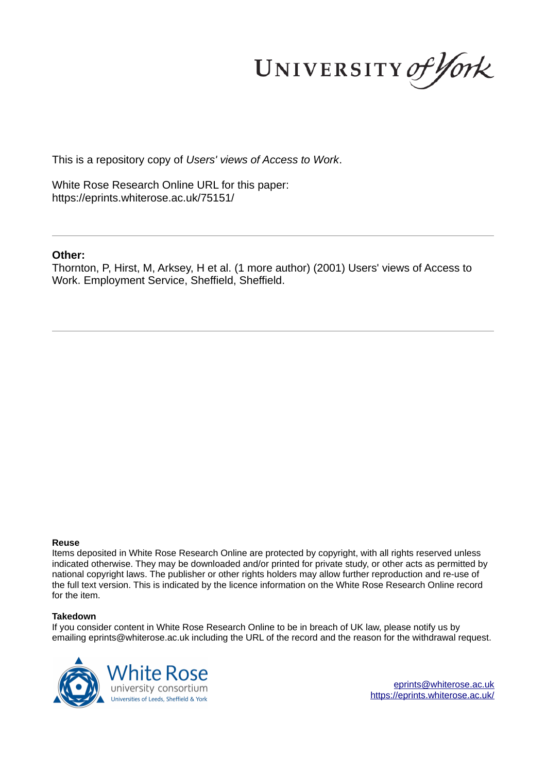UNIVERSITY of York

This is a repository copy of *Users' views of Access to Work*.

White Rose Research Online URL for this paper: https://eprints.whiterose.ac.uk/75151/

### **Other:**

Thornton, P, Hirst, M, Arksey, H et al. (1 more author) (2001) Users' views of Access to Work. Employment Service, Sheffield, Sheffield.

### **Reuse**

Items deposited in White Rose Research Online are protected by copyright, with all rights reserved unless indicated otherwise. They may be downloaded and/or printed for private study, or other acts as permitted by national copyright laws. The publisher or other rights holders may allow further reproduction and re-use of the full text version. This is indicated by the licence information on the White Rose Research Online record for the item.

### **Takedown**

If you consider content in White Rose Research Online to be in breach of UK law, please notify us by emailing eprints@whiterose.ac.uk including the URL of the record and the reason for the withdrawal request.



eprints@whiterose.ac.uk https://eprints.whiterose.ac.uk/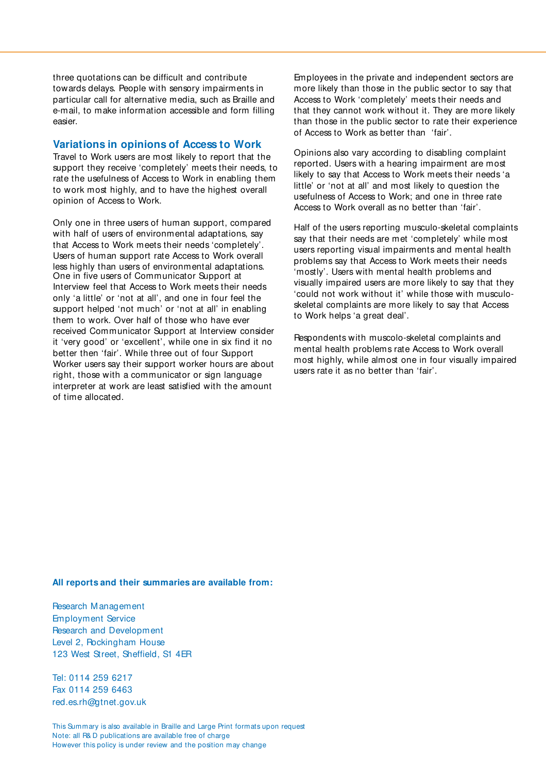three quotations can be difficult and contribute towards delays. People with sensory impairments in particular call for alternative media, such as Braille and e-mail, to make information accessible and form filling easier.

### **Variations in opinions of Access to Work**

Travel to Work users are most likely to report that the support they receive 'completely' meets their needs, to rate the usefulness of Access to Work in enabling them to work most highly, and to have the highest overall opinion of Access to Work.

Only one in three users of human support, compared with half of users of environmental adaptations, say that Access to Work meets their needs 'completely'. Users of human support rate Access to Work overall less highly than users of environmental adaptations. One in five users of Communicator Support at Interview feel that Access to Work meets their needs only 'a little' or 'not at all', and one in four feel the support helped 'not much' or 'not at all' in enabling them to work. Over half of those who have ever received Communicator Support at Interview consider it 'very good' or 'excellent', while one in six find it no better then 'fair'. While three out of four Support Worker users say their support worker hours are about right, those with a communicator or sign language interpreter at work are least satisfied with the amount of time allocated.

Employees in the private and independent sectors are more likely than those in the public sector to say that Access to Work 'completely' meets their needs and that they cannot work without it. They are more likely than those in the public sector to rate their experience of Access to Work as better than 'fair'.

Opinions also vary according to disabling complaint reported. Users with a hearing impairment are most likely to say that Access to Work meets their needs 'a little' or 'not at all' and most likely to question the usefulness of Access to Work; and one in three rate Access to Work overall as no better than 'fair'.

Half of the users reporting musculo-skeletal complaints say that their needs are met 'completely' while most users reporting visual impairments and mental health problems say that Access to Work meets their needs 'mostly'. Users with mental health problems and visually impaired users are more likely to say that they 'could not work without it' while those with musculoskeletal complaints are more likely to say that Access to Work helps 'a great deal'.

Respondents with muscolo-skeletal complaints and mental health problems rate Access to Work overall most highly, while almost one in four visually impaired users rate it as no better than 'fair'.

### **All reports and their summaries are available from:**

Research Management Employment Service Research and Development Level 2, Rockingham House 123 West Street, Sheffield, S1 4ER

Tel: 0114 259 6217 Fax 0114 259 6463 red.es.rh@gtnet.gov.uk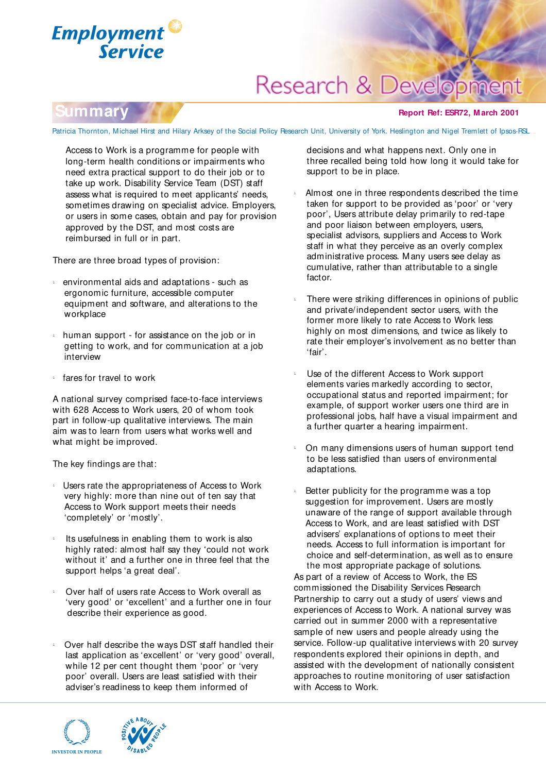

# **Research & Deve**

### **Summary**

### **Report Ref: ESR72, M arch 2001**

Patricia Thornton, Michael Hirst and Hilary Arksey of the Social Policy Research Unit, University of York. Heslington and Nigel Tremlett of Ipsos-RSL

Access to Work is a programme for people with long-term health conditions or impairments who need extra practical support to do their job or to take up work. Disability Service Team (DST) staff assess what is required to meet applicants' needs, sometimes drawing on specialist advice. Employers, or users in some cases, obtain and pay for provision approved by the DST, and most costs are reimbursed in full or in part.

There are three broad types of provision:

- environmental aids and adaptations such as ergonomic furniture, accessible computer equipment and software, and alterations to the workplace
- $\frac{1}{2}$  human support for assistance on the job or in getting to work, and for communication at a job interview
- fares for travel to work

A national survey comprised face-to-face interviews with 628 Access to Work users, 20 of whom took part in follow-up qualitative interviews. The main aim was to learn from users what works well and what might be improved.

The key findings are that:

- $\perp$  Users rate the appropriateness of Access to Work very highly: more than nine out of ten say that Access to Work support meets their needs 'completely' or 'mostly'.
- Its usefulness in enabling them to work is also highly rated: almost half say they 'could not work without it' and a further one in three feel that the support helps 'a great deal'.
- Over half of users rate Access to Work overall as 'very good' or 'excellent' and a further one in four describe their experience as good.
- Over half describe the ways DST staff handled their last application as 'excellent' or 'very good' overall, while 12 per cent thought them 'poor' or 'very poor' overall. Users are least satisfied with their adviser's readiness to keep them informed of



decisions and what happens next. Only one in three recalled being told how long it would take for support to be in place.

- <sup>l</sup>Almost one in three respondents described the time taken for support to be provided as 'poor' or 'very poor', Users attribute delay primarily to red-tape and poor liaison between employers, users, specialist advisors, suppliers and Access to Work staff in what they perceive as an overly complex administrative process. Many users see delay as cumulative, rather than attributable to a single factor.
- There were striking differences in opinions of public and private/independent sector users, with the former more likely to rate Access to Work less highly on most dimensions, and twice as likely to rate their employer's involvement as no better than 'fair'.
- <sup>l</sup>Use of the different Access to Work support elements varies markedly according to sector, occupational status and reported impairment; for example, of support worker users one third are in professional jobs, half have a visual impairment and a further quarter a hearing impairment.
- <sup>l</sup>On many dimensions users of human support tend to be less satisfied than users of environmental adaptations.
- Better publicity for the programme was a top suggestion for improvement. Users are mostly unaware of the range of support available through Access to Work, and are least satisfied with DST advisers' explanations of options to meet their needs. Access to full information is important for choice and self-determination, as well as to ensure the most appropriate package of solutions.

As part of a review of Access to Work, the ES commissioned the Disability Services Research Partnership to carry out a study of users' views and experiences of Access to Work. A national survey was carried out in summer 2000 with a representative sample of new users and people already using the service. Follow-up qualitative interviews with 20 survey respondents explored their opinions in depth, and assisted with the development of nationally consistent approaches to routine monitoring of user satisfaction with Access to Work.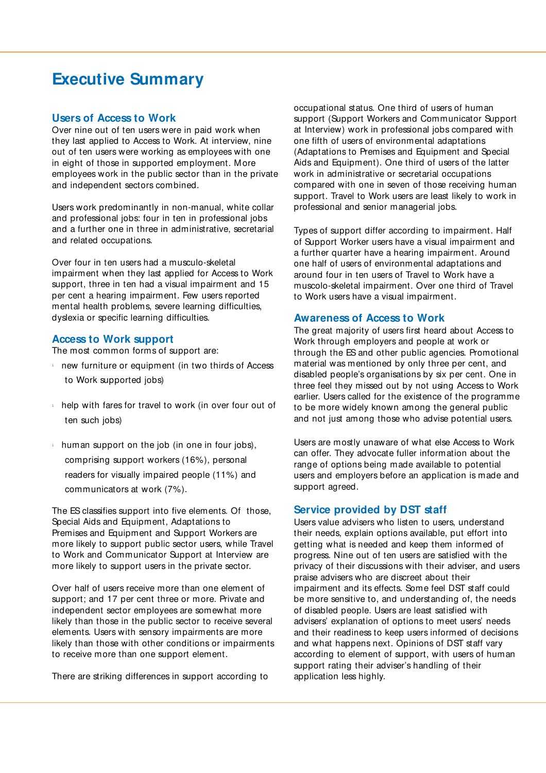## **Executive Summary**

### **Users of Access to Work**

Over nine out of ten users were in paid work when they last applied to Access to Work. At interview, nine out of ten users were working as employees with one in eight of those in supported employment. More employees work in the public sector than in the private and independent sectors combined.

Users work predominantly in non-manual, white collar and professional jobs: four in ten in professional jobs and a further one in three in administrative, secretarial and related occupations.

Over four in ten users had a musculo-skeletal impairment when they last applied for Access to Work support, three in ten had a visual impairment and 15 per cent a hearing impairment. Few users reported mental health problems, severe learning difficulties, dyslexia or specific learning difficulties.

### **Access to Work support**

The most common forms of support are:

- $\frac{1}{2}$  new furniture or equipment (in two thirds of Access to Work supported jobs)
- $\frac{1}{2}$  help with fares for travel to work (in over four out of ten such jobs)
- $\frac{1}{2}$  human support on the job (in one in four jobs), comprising support workers (16%), personal readers for visually impaired people (11%) and communicators at work (7%).

The ES classifies support into five elements. Of those, Special Aids and Equipment, Adaptations to Premises and Equipment and Support Workers are more likely to support public sector users, while Travel to Work and Communicator Support at Interview are more likely to support users in the private sector.

Over half of users receive more than one element of support; and 17 per cent three or more. Private and independent sector employees are somewhat more likely than those in the public sector to receive several elements. Users with sensory impairments are more likely than those with other conditions or impairments to receive more than one support element.

There are striking differences in support according to

occupational status. One third of users of human support (Support Workers and Communicator Support at Interview) work in professional jobs compared with one fifth of users of environmental adaptations (Adaptations to Premises and Equipment and Special Aids and Equipment). One third of users of the latter work in administrative or secretarial occupations compared with one in seven of those receiving human support. Travel to Work users are least likely to work in professional and senior managerial jobs.

Types of support differ according to impairment. Half of Support Worker users have a visual impairment and a further quarter have a hearing impairment. Around one half of users of environmental adaptations and around four in ten users of Travel to Work have a muscolo-skeletal impairment. Over one third of Travel to Work users have a visual impairment.

### **Awareness of Access to Work**

The great majority of users first heard about Access to Work through employers and people at work or through the ES and other public agencies. Promotional material was mentioned by only three per cent, and disabled people's organisations by six per cent. One in three feel they missed out by not using Access to Work earlier. Users called for the existence of the programme to be more widely known among the general public and not just among those who advise potential users.

Users are mostly unaware of what else Access to Work can offer. They advocate fuller information about the range of options being made available to potential users and employers before an application is made and support agreed.

### **Service provided by DST staff**

Users value advisers who listen to users, understand their needs, explain options available, put effort into getting what is needed and keep them informed of progress. Nine out of ten users are satisfied with the privacy of their discussions with their adviser, and users praise advisers who are discreet about their impairment and its effects. Some feel DST staff could be more sensitive to, and understanding of, the needs of disabled people. Users are least satisfied with advisers' explanation of options to meet users' needs and their readiness to keep users informed of decisions and what happens next. Opinions of DST staff vary according to element of support, with users of human support rating their adviser's handling of their application less highly.